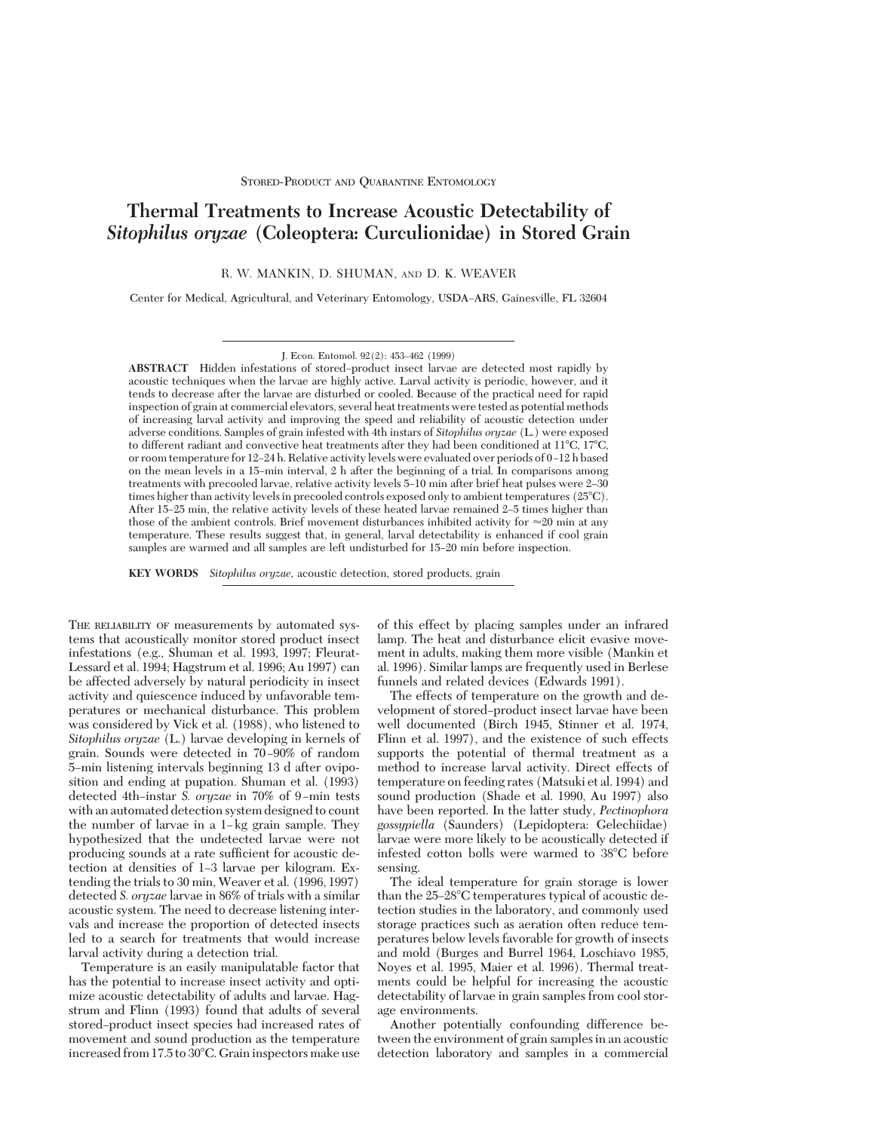# **Thermal Treatments to Increase Acoustic Detectability of** *Sitophilus oryzae* **(Coleoptera: Curculionidae) in Stored Grain**

R. W. MANKIN, D. SHUMAN, AND D. K. WEAVER

Center for Medical, Agricultural, and Veterinary Entomology, USDA-ARS, Gainesville, FL 32604

J. Econ. Entomol. 92(2): 453-462 (1999)

ABSTRACT Hidden infestations of stored-product insect larvae are detected most rapidly by acoustic techniques when the larvae are highly active. Larval activity is periodic, however, and it tends to decrease after the larvae are disturbed or cooled. Because of the practical need for rapid inspection of grain at commercial elevators, several heat treatments were tested as potential methods of increasing larval activity and improving the speed and reliability of acoustic detection under adverse conditions. Samples of grain infested with 4th instars of *Sitophilus oryzae* (L.) were exposed to different radiant and convective heat treatments after they had been conditioned at  $11^{\circ}$ C,  $17^{\circ}$ C, or room temperature for 12–24 h. Relative activity levels were evaluated over periods of 0–12 h based on the mean levels in a 15Ðmin interval, 2 h after the beginning of a trial. In comparisons among treatments with precooled larvae, relative activity levels 5–10 min after brief heat pulses were 2–30 times higher than activity levels in precooled controls exposed only to ambient temperatures (25°C). After 15–25 min, the relative activity levels of these heated larvae remained 2–5 times higher than those of the ambient controls. Brief movement disturbances inhibited activity for  $\approx 20$  min at any temperature. These results suggest that, in general, larval detectability is enhanced if cool grain samples are warmed and all samples are left undisturbed for 15–20 min before inspection.

**KEY WORDS** *Sitophilus oryzae,* acoustic detection, stored products, grain

THE RELIABILITY OF measurements by automated systems that acoustically monitor stored product insect infestations (e.g., Shuman et al. 1993, 1997; Fleurat-Lessard et al. 1994; Hagstrum et al. 1996; Au 1997) can be affected adversely by natural periodicity in insect activity and quiescence induced by unfavorable temperatures or mechanical disturbance. This problem was considered by Vick et al. (1988), who listened to *Sitophilus oryzae* (L.) larvae developing in kernels of grain. Sounds were detected in 70 Ð90% of random 5Ðmin listening intervals beginning 13 d after oviposition and ending at pupation. Shuman et al. (1993) detected 4th-instar *S. oryzae* in 70% of 9-min tests with an automated detection system designed to count the number of larvae in a  $1 - \text{kg}$  grain sample. They hypothesized that the undetected larvae were not producing sounds at a rate sufficient for acoustic detection at densities of 1-3 larvae per kilogram. Extending the trials to 30 min, Weaver et al. (1996, 1997) detected *S. oryzae* larvae in 86% of trials with a similar acoustic system. The need to decrease listening intervals and increase the proportion of detected insects led to a search for treatments that would increase larval activity during a detection trial.

Temperature is an easily manipulatable factor that has the potential to increase insect activity and optimize acoustic detectability of adults and larvae. Hagstrum and Flinn (1993) found that adults of several stored-product insect species had increased rates of movement and sound production as the temperature increased from  $17.5$  to  $30^{\circ}$ C. Grain inspectors make use

of this effect by placing samples under an infrared lamp. The heat and disturbance elicit evasive movement in adults, making them more visible (Mankin et al. 1996). Similar lamps are frequently used in Berlese funnels and related devices (Edwards 1991).

The effects of temperature on the growth and development of stored-product insect larvae have been well documented (Birch 1945, Stinner et al. 1974, Flinn et al. 1997), and the existence of such effects supports the potential of thermal treatment as a method to increase larval activity. Direct effects of temperature on feeding rates (Matsuki et al. 1994) and sound production (Shade et al. 1990, Au 1997) also have been reported. In the latter study, *Pectinophora gossypiella* (Saunders) (Lepidoptera: Gelechiidae) larvae were more likely to be acoustically detected if infested cotton bolls were warmed to 38°C before sensing.

The ideal temperature for grain storage is lower than the  $25-28^{\circ}$ C temperatures typical of acoustic detection studies in the laboratory, and commonly used storage practices such as aeration often reduce temperatures below levels favorable for growth of insects and mold (Burges and Burrel 1964, Loschiavo 1985, Noyes et al. 1995, Maier et al. 1996). Thermal treatments could be helpful for increasing the acoustic detectability of larvae in grain samples from cool storage environments.

Another potentially confounding difference between the environment of grain samples in an acoustic detection laboratory and samples in a commercial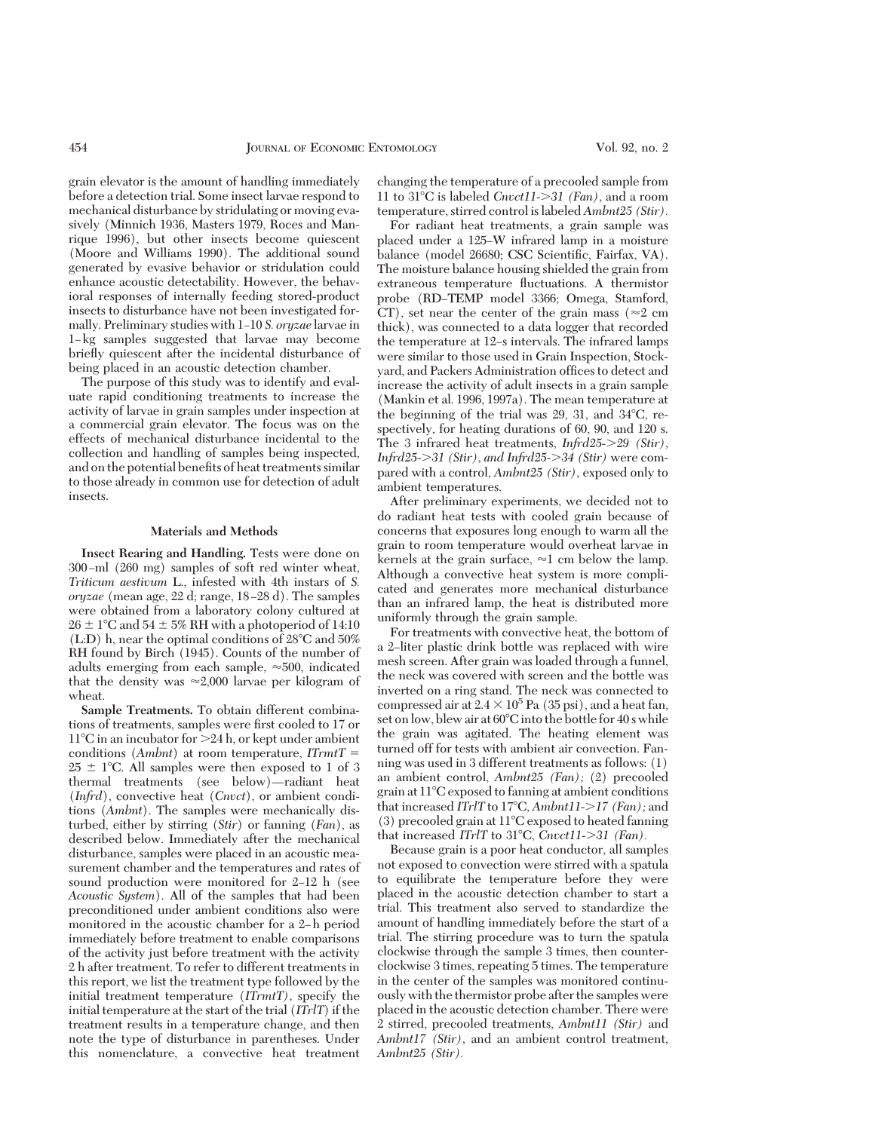grain elevator is the amount of handling immediately before a detection trial. Some insect larvae respond to mechanical disturbance by stridulating or moving evasively (Minnich 1936, Masters 1979, Roces and Manrique 1996), but other insects become quiescent (Moore and Williams 1990). The additional sound generated by evasive behavior or stridulation could enhance acoustic detectability. However, the behavioral responses of internally feeding stored-product insects to disturbance have not been investigated formally. Preliminary studies with 1–10 *S. oryzae* larvae in 1-kg samples suggested that larvae may become brießy quiescent after the incidental disturbance of being placed in an acoustic detection chamber.

The purpose of this study was to identify and evaluate rapid conditioning treatments to increase the activity of larvae in grain samples under inspection at a commercial grain elevator. The focus was on the effects of mechanical disturbance incidental to the collection and handling of samples being inspected, and on the potential benefits of heat treatments similar to those already in common use for detection of adult insects.

## **Materials and Methods**

**Insect Rearing and Handling.** Tests were done on 300-ml (260 mg) samples of soft red winter wheat, *Triticum aestivum* L., infested with 4th instars of *S. oryzae* (mean age, 22 d; range, 18–28 d). The samples were obtained from a laboratory colony cultured at  $26 \pm 1$ °C and  $54 \pm 5\%$  RH with a photoperiod of 14:10  $(L.D)$  h, near the optimal conditions of 28<sup>o</sup>C and 50% RH found by Birch (1945). Counts of the number of adults emerging from each sample,  $\approx 500$ , indicated that the density was  $\approx 2,000$  larvae per kilogram of wheat.

**Sample Treatments.** To obtain different combinations of treatments, samples were first cooled to 17 or  $11^{\circ}$ C in an incubator for  $>24$  h, or kept under ambient conditions  $(Ambnt)$  at room temperature,  $ITrmtT =$  $25 \pm 1^{\circ}$ C. All samples were then exposed to 1 of 3 thermal treatments (see below)—radiant heat (*Infrd*), convective heat (*Cnvct*), or ambient conditions (*Ambnt*). The samples were mechanically disturbed, either by stirring (*Stir*) or fanning (*Fan*), as described below. Immediately after the mechanical disturbance, samples were placed in an acoustic measurement chamber and the temperatures and rates of sound production were monitored for  $2-12$  h (see *Acoustic System*). All of the samples that had been preconditioned under ambient conditions also were monitored in the acoustic chamber for a 2-h period immediately before treatment to enable comparisons of the activity just before treatment with the activity 2 h after treatment. To refer to different treatments in this report, we list the treatment type followed by the initial treatment temperature (*ITrmtT),* specify the initial temperature at the start of the trial (*ITrlT*) if the treatment results in a temperature change, and then note the type of disturbance in parentheses. Under this nomenclature, a convective heat treatment

changing the temperature of a precooled sample from 11 to 318C is labeled *Cnvct11-*.*31 (Fan),* and a room temperature, stirred control is labeled *Ambnt25 (Stir).*

For radiant heat treatments, a grain sample was placed under a 125ÐW infrared lamp in a moisture balance (model 26680; CSC Scientific, Fairfax, VA). The moisture balance housing shielded the grain from extraneous temperature ßuctuations. A thermistor probe (RD-TEMP model 3366; Omega, Stamford, CT), set near the center of the grain mass ( $\approx$ 2 cm thick), was connected to a data logger that recorded the temperature at 12–s intervals. The infrared lamps were similar to those used in Grain Inspection, Stockyard, and Packers Administration offices to detect and increase the activity of adult insects in a grain sample (Mankin et al. 1996, 1997a). The mean temperature at the beginning of the trial was  $29, 31$ , and  $34^{\circ}$ C, respectively, for heating durations of 60, 90, and 120 s. The 3 infrared heat treatments, *Infrd25->29 (Stir)*, *Infrd25->31 (Stir), and Infrd25->34 (Stir)* were compared with a control, *Ambnt25 (Stir),* exposed only to ambient temperatures.

After preliminary experiments, we decided not to do radiant heat tests with cooled grain because of concerns that exposures long enough to warm all the grain to room temperature would overheat larvae in kernels at the grain surface,  $\approx$ 1 cm below the lamp. Although a convective heat system is more complicated and generates more mechanical disturbance than an infrared lamp, the heat is distributed more uniformly through the grain sample.

For treatments with convective heat, the bottom of a 2-liter plastic drink bottle was replaced with wire mesh screen. After grain was loaded through a funnel, the neck was covered with screen and the bottle was inverted on a ring stand. The neck was connected to compressed air at  $2.4 \times 10^5$  Pa (35 psi), and a heat fan, set on low, blew air at  $60^{\circ}$ C into the bottle for 40 s while the grain was agitated. The heating element was turned off for tests with ambient air convection. Fanning was used in 3 different treatments as follows: (1) an ambient control, *Ambnt25 (Fan);* (2) precooled grain at  $11^{\circ}$ C exposed to fanning at ambient conditions that increased *ITrlT* to 17°C, *Ambnt11->17 (Fan)*; and  $(3)$  precooled grain at  $11^{\circ}$ C exposed to heated fanning that increased *ITrlT* to 31°C, *Cnvct11->31 (Fan)*.

Because grain is a poor heat conductor, all samples not exposed to convection were stirred with a spatula to equilibrate the temperature before they were placed in the acoustic detection chamber to start a trial. This treatment also served to standardize the amount of handling immediately before the start of a trial. The stirring procedure was to turn the spatula clockwise through the sample 3 times, then counterclockwise 3 times, repeating 5 times. The temperature in the center of the samples was monitored continuously with the thermistor probe after the samples were placed in the acoustic detection chamber. There were 2 stirred, precooled treatments, *Ambnt11 (Stir)* and *Ambnt17 (Stir),* and an ambient control treatment, *Ambnt25 (Stir).*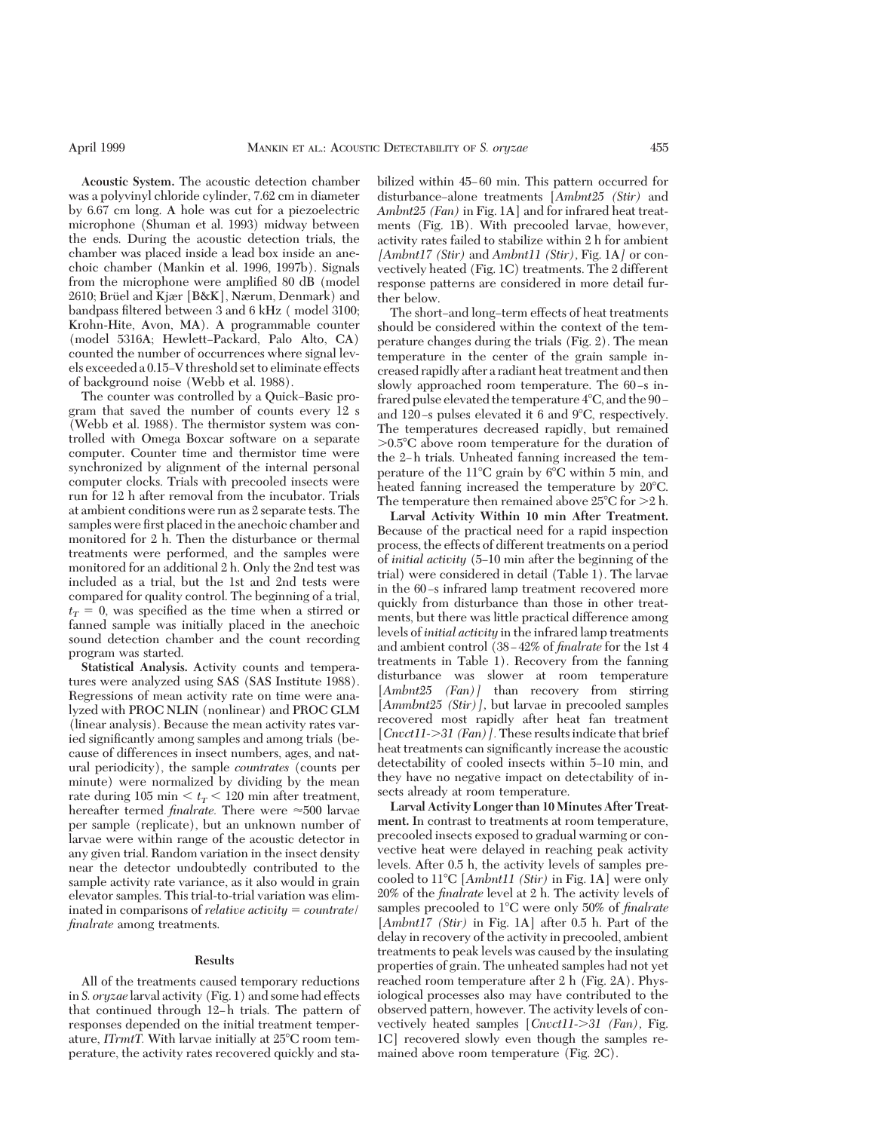**Acoustic System.** The acoustic detection chamber was a polyvinyl chloride cylinder, 7.62 cm in diameter by 6.67 cm long. A hole was cut for a piezoelectric microphone (Shuman et al. 1993) midway between the ends. During the acoustic detection trials, the chamber was placed inside a lead box inside an anechoic chamber (Mankin et al. 1996, 1997b). Signals from the microphone were amplified 80 dB (model 2610; Brüel and Kjær [B&K], Nærum, Denmark) and bandpass filtered between 3 and 6 kHz (model 3100; Krohn-Hite, Avon, MA). A programmable counter (model 5316A; Hewlett–Packard, Palo Alto, CA) counted the number of occurrences where signal levels exceeded a 0.15ÐV threshold set to eliminate effects of background noise (Webb et al. 1988).

The counter was controlled by a Quick-Basic program that saved the number of counts every 12 s (Webb et al. 1988). The thermistor system was controlled with Omega Boxcar software on a separate computer. Counter time and thermistor time were synchronized by alignment of the internal personal computer clocks. Trials with precooled insects were run for 12 h after removal from the incubator. Trials at ambient conditions were run as 2 separate tests. The samples were first placed in the anechoic chamber and monitored for 2 h. Then the disturbance or thermal treatments were performed, and the samples were monitored for an additional 2 h. Only the 2nd test was included as a trial, but the 1st and 2nd tests were compared for quality control. The beginning of a trial,  $t_T = 0$ , was specified as the time when a stirred or fanned sample was initially placed in the anechoic sound detection chamber and the count recording program was started.

**Statistical Analysis.** Activity counts and temperatures were analyzed using SAS (SAS Institute 1988). Regressions of mean activity rate on time were analyzed with PROC NLIN (nonlinear) and PROC GLM (linear analysis). Because the mean activity rates varied significantly among samples and among trials (because of differences in insect numbers, ages, and natural periodicity), the sample *countrates* (counts per minute) were normalized by dividing by the mean rate during 105 min  $\lt t_T$   $\lt$  120 min after treatment, hereafter termed *finalrate*. There were  $\approx 500$  larvae per sample (replicate), but an unknown number of larvae were within range of the acoustic detector in any given trial. Random variation in the insect density near the detector undoubtedly contributed to the sample activity rate variance, as it also would in grain elevator samples. This trial-to-trial variation was eliminated in comparisons of *relative activity*  $=$  *countrate finalrate* among treatments.

### **Results**

All of the treatments caused temporary reductions in *S. oryzae* larval activity (Fig. 1) and some had effects that continued through 12–h trials. The pattern of responses depended on the initial treatment temperature, *ITrmtT*. With larvae initially at 25°C room temperature, the activity rates recovered quickly and stabilized within 45–60 min. This pattern occurred for disturbance-alone treatments [Ambnt25 (Stir) and *Ambnt25 (Fan)* in Fig. 1A] and for infrared heat treatments (Fig. 1B). With precooled larvae, however, activity rates failed to stabilize within 2 h for ambient *[Ambnt17 (Stir)* and *Ambnt11 (Stir),* Fig. 1A*]* or convectively heated (Fig. 1C) treatments. The 2 different response patterns are considered in more detail further below.

The short–and long–term effects of heat treatments should be considered within the context of the temperature changes during the trials (Fig. 2). The mean temperature in the center of the grain sample increased rapidly after a radiant heat treatment and then slowly approached room temperature. The 60-s infrared pulse elevated the temperature  $4^{\circ}$ C, and the 90 – and 120-s pulses elevated it 6 and  $9^{\circ}$ C, respectively. The temperatures decreased rapidly, but remained  $>0.5^{\circ}$ C above room temperature for the duration of the 2-h trials. Unheated fanning increased the temperature of the  $11^{\circ}$ C grain by 6 $^{\circ}$ C within 5 min, and heated fanning increased the temperature by  $20^{\circ}$ C. The temperature then remained above  $25^{\circ}$ C for  $>2$  h.

**Larval Activity Within 10 min After Treatment.** Because of the practical need for a rapid inspection process, the effects of different treatments on a period of *initial activity* (5Ð10 min after the beginning of the trial) were considered in detail (Table 1). The larvae in the 60-s infrared lamp treatment recovered more quickly from disturbance than those in other treatments, but there was little practical difference among levels of *initial activity* in the infrared lamp treatments and ambient control (38–42% of *finalrate* for the 1st 4 treatments in Table 1). Recovery from the fanning disturbance was slower at room temperature [*Ambnt25 (Fan)*] than recovery from stirring [*Ammbnt25 (Stir)],* but larvae in precooled samples recovered most rapidly after heat fan treatment [*Cnvct11->31 (Fan)*]. These results indicate that brief heat treatments can significantly increase the acoustic detectability of cooled insects within 5-10 min, and they have no negative impact on detectability of insects already at room temperature.

**Larval Activity Longer than 10Minutes After Treatment.** In contrast to treatments at room temperature, precooled insects exposed to gradual warming or convective heat were delayed in reaching peak activity levels. After 0.5 h, the activity levels of samples precooled to 118C [*Ambnt11 (Stir)* in Fig. 1A] were only 20% of the *finalrate* level at 2 h. The activity levels of samples precooled to 1<sup>o</sup>C were only 50% of *finalrate* [*Ambnt17 (Stir)* in Fig. 1A] after 0.5 h. Part of the delay in recovery of the activity in precooled, ambient treatments to peak levels was caused by the insulating properties of grain. The unheated samples had not yet reached room temperature after 2 h (Fig. 2A). Physiological processes also may have contributed to the observed pattern, however. The activity levels of convectively heated samples [*Cnvct11->31 (Fan)*, Fig. 1C] recovered slowly even though the samples remained above room temperature (Fig. 2C).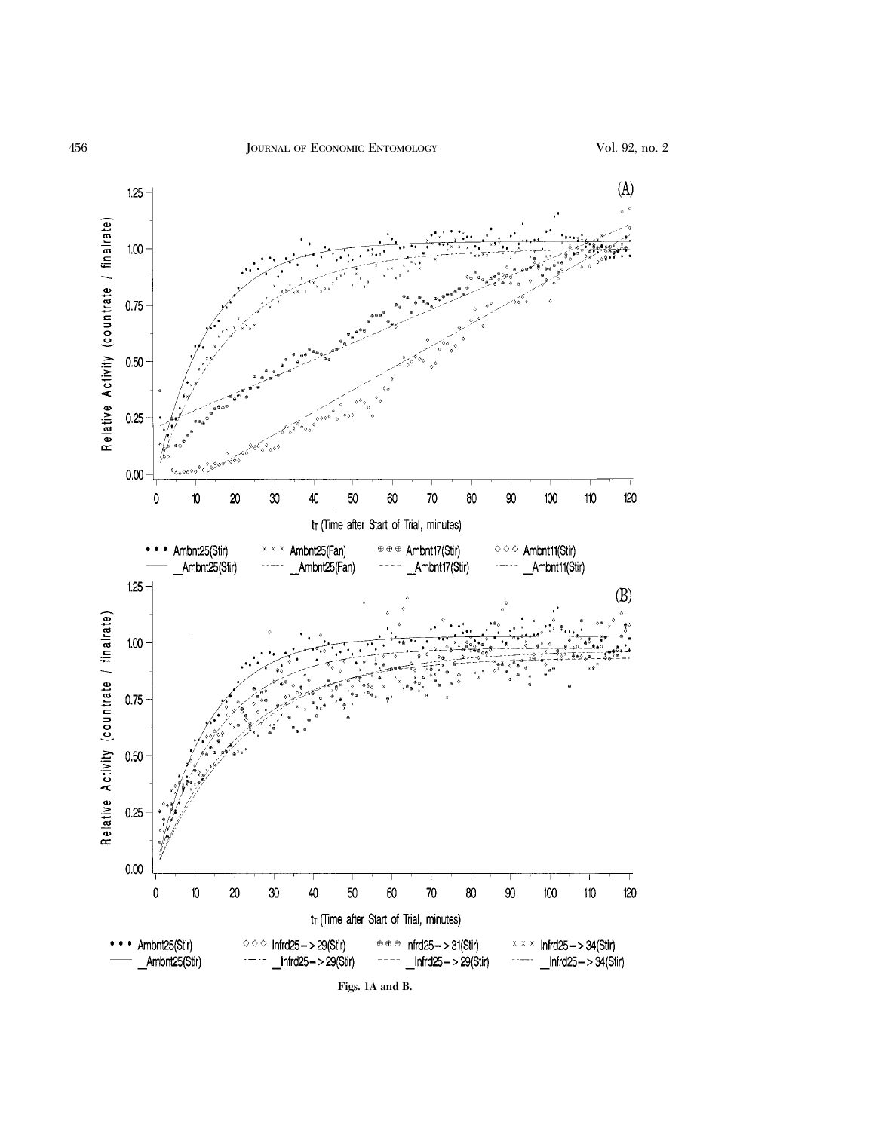

**Figs. 1A and B.**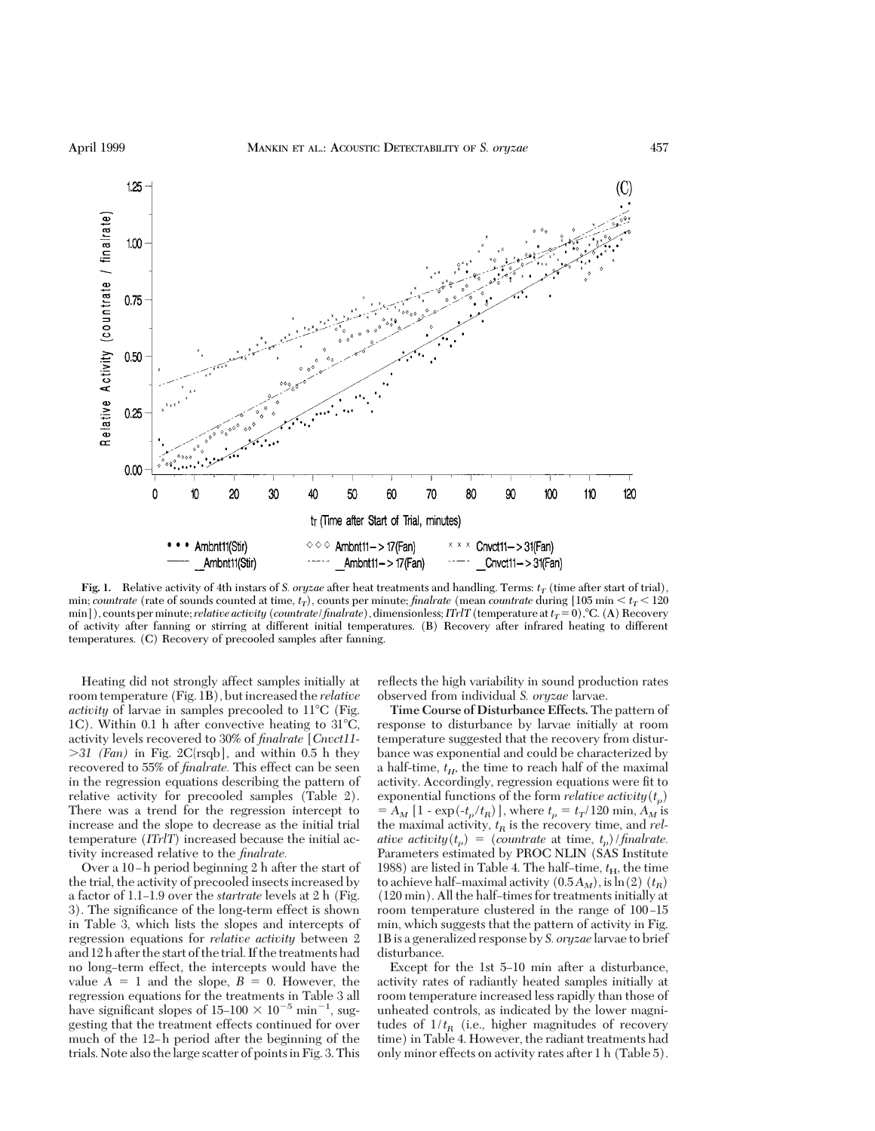

**Fig. 1.** Relative activity of 4th instars of *S. oryzae* after heat treatments and handling. Terms:  $t_T$  (time after start of trial), min; *countrate* (rate of sounds counted at time,  $t_T$ ), counts per minute; *finalrate* (mean *countrate* during [105 min  $\lt t_T \lt 120$ min]), counts per minute; *relative activity* (*countrate*/*finalrate*), dimensionless; *ITrlT* (*temperature at*  $t_T = 0$ ), °C. (A) Recovery of activity after fanning or stirring at different initial temperatures. (B) Recovery after infrared heating to different temperatures. (C) Recovery of precooled samples after fanning.

Heating did not strongly affect samples initially at room temperature (Fig. 1B), but increased the *relative activity* of larvae in samples precooled to 11<sup>o</sup>C (Fig. 1C). Within 0.1 h after convective heating to  $31^{\circ}$ C, activity levels recovered to 30% of *finalrate* [*Cnvct11-* .*31 (Fan)* in Fig. 2C{rsqb], and within 0.5 h they recovered to 55% of *finalrate.* This effect can be seen in the regression equations describing the pattern of relative activity for precooled samples (Table 2). There was a trend for the regression intercept to increase and the slope to decrease as the initial trial temperature (*ITrlT*) increased because the initial activity increased relative to the *finalrate.*

Over a 10-h period beginning 2 h after the start of the trial, the activity of precooled insects increased by a factor of 1.1–1.9 over the *startrate* levels at 2 h (Fig. 3). The significance of the long-term effect is shown in Table 3, which lists the slopes and intercepts of regression equations for *relative activity* between 2 and 12 h after the start of the trial. If the treatments had no long-term effect, the intercepts would have the value  $A = 1$  and the slope,  $B = 0$ . However, the regression equations for the treatments in Table 3 all have significant slopes of  $15{\text -}100 \times 10^{-5}$  min<sup>-1</sup>, suggesting that the treatment effects continued for over much of the 12-h period after the beginning of the trials. Note also thelarge scatter of pointsin Fig. 3. This

reßects the high variability in sound production rates observed from individual *S. oryzae* larvae.

**Time Course of Disturbance Effects.** The pattern of response to disturbance by larvae initially at room temperature suggested that the recovery from disturbance was exponential and could be characterized by a half-time,  $t_H$ , the time to reach half of the maximal activity. Accordingly, regression equations were fit to exponential functions of the form *relative activity* $(t_n)$  $= A_M [1 - \exp(-t_p/t_R)]$ , where  $t_p = t_T/120$  min,  $A_M$  is the maximal activity,  $t_R$  is the recovery time, and  $rel$ *ative activity*( $t_p$ ) = (*countrate* at time,  $t_p$ )/*finalrate.* Parameters estimated by PROC NLIN (SAS Institute 1988) are listed in Table 4. The half-time,  $t_{\rm H}$ , the time to achieve half–maximal activity  $(0.5A_M)$ , is  $\ln(2)$   $(t_R)$  $(120 \text{ min})$ . All the half-times for treatments initially at room temperature clustered in the range of 100-15 min, which suggests that the pattern of activity in Fig. 1B is a generalized response by *S. oryzae* larvae to brief disturbance.

Except for the 1st 5-10 min after a disturbance, activity rates of radiantly heated samples initially at room temperature increased less rapidly than those of unheated controls, as indicated by the lower magnitudes of  $1/t_R$  (i.e., higher magnitudes of recovery time) in Table 4. However, the radiant treatments had only minor effects on activity rates after 1 h (Table 5).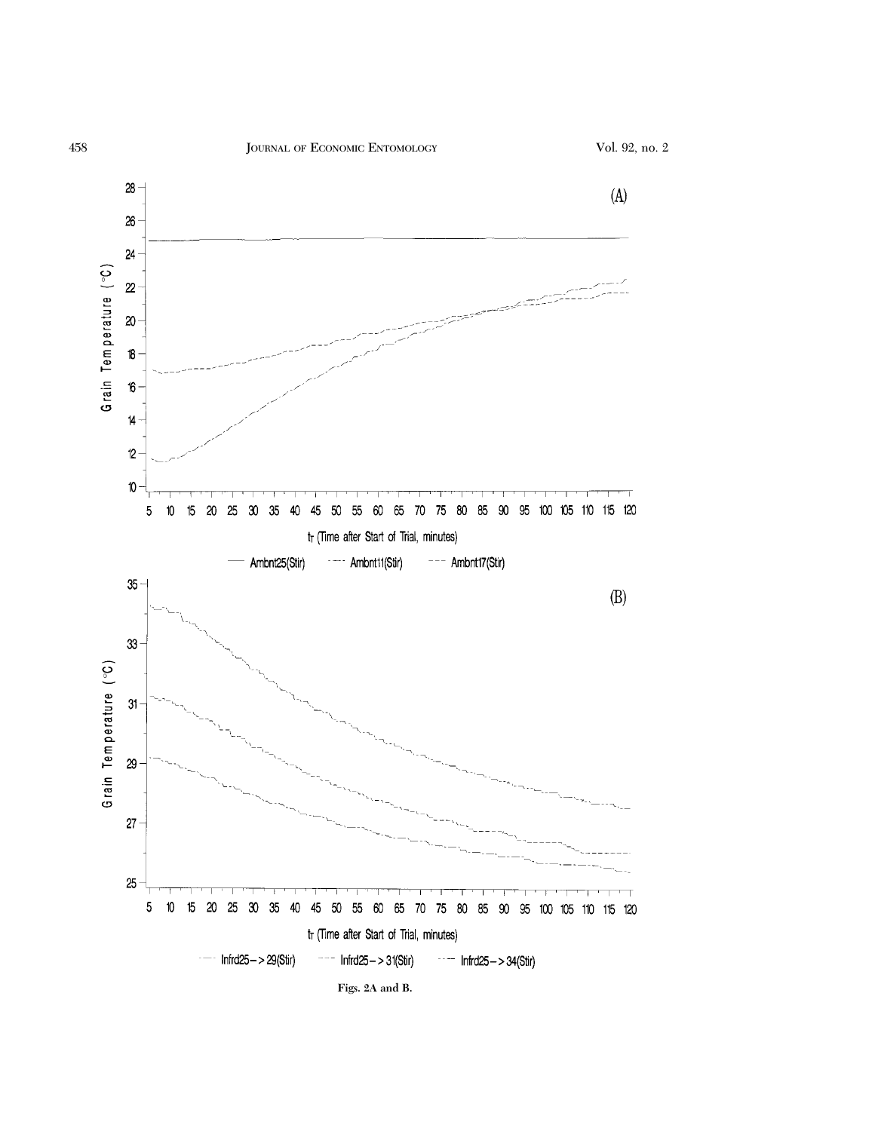



**Figs. 2A and B.**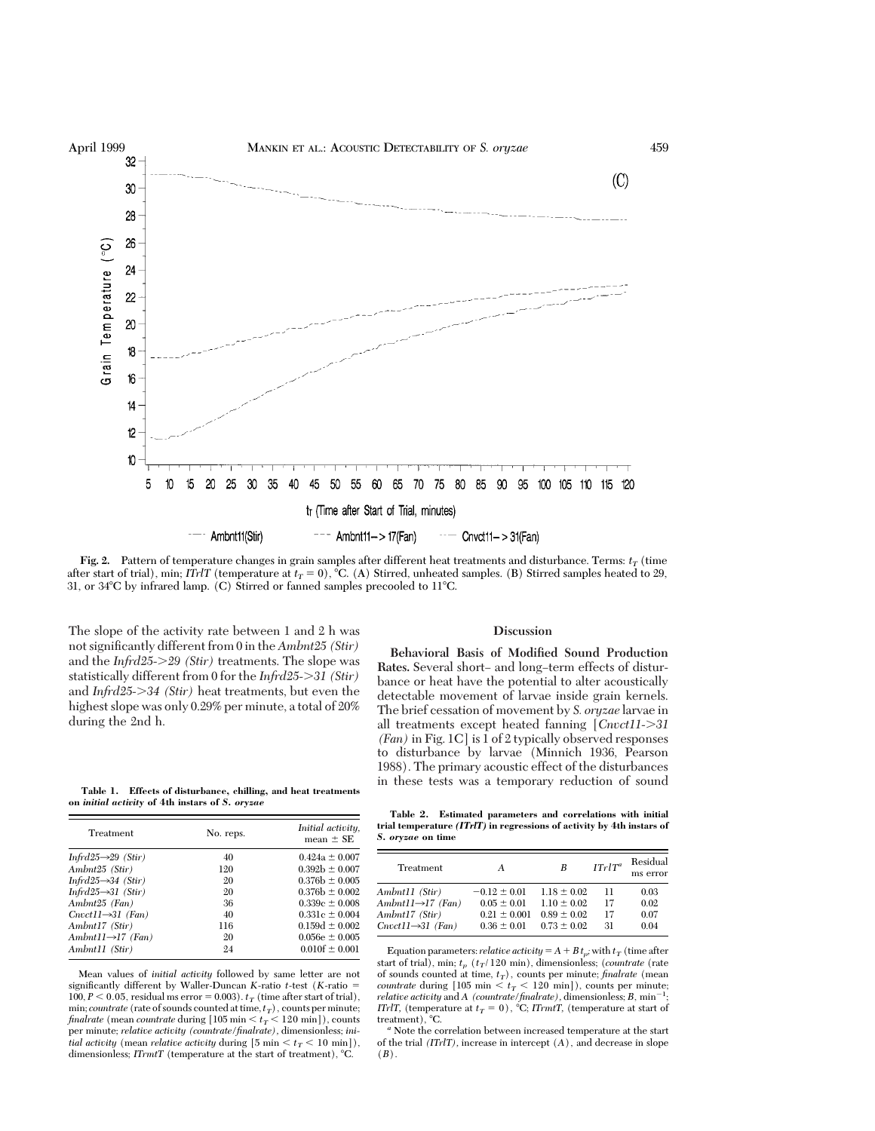

**Fig. 2.** Pattern of temperature changes in grain samples after different heat treatments and disturbance. Terms:  $t_T$  (time after start of trial), min; *ITrlT* (temperature at  $t_T = 0$ ), °C. (A) Stirred, unheated samples. (B) Stirred samples heated to 29, 31, or  $34^{\circ}$ C by infrared lamp. (C) Stirred or fanned samples precooled to 11 $^{\circ}$ C.

The slope of the activity rate between 1 and 2 h was not significantly different from 0 in the *Ambnt25 (Stir)* and the *Infrd25->29 (Stir)* treatments. The slope was statistically different from 0 for the *Infrd25-*.*31 (Stir)* and *Infrd25->34 (Stir)* heat treatments, but even the highest slope was only 0.29% per minute, a total of 20% during the 2nd h.

### **Discussion**

**Behavioral Basis of Modified Sound Production** Rates. Several short- and long-term effects of disturbance or heat have the potential to alter acoustically detectable movement of larvae inside grain kernels. The brief cessation of movement by *S. oryzae* larvae in all treatments except heated fanning [*Cnvct11-*.*31 (Fan)* in Fig. 1C] is 1 of 2 typically observed responses to disturbance by larvae (Minnich 1936, Pearson 1988). The primary acoustic effect of the disturbances in these tests was a temporary reduction of sound

**Table 1. Effects of disturbance, chilling, and heat treatments on** *initial activity* **of 4th instars of** *S. oryzae*

| Treatment                       | No. reps. | Initial activity,<br>mean $\pm$ SE |  |
|---------------------------------|-----------|------------------------------------|--|
| Infrd25 $\rightarrow$ 29 (Stir) | 40        | $0.424a \pm 0.007$                 |  |
| Ambnt25 (Stir)                  | 120       | $0.392b \pm 0.007$                 |  |
| Infrd25 $\rightarrow$ 34 (Stir) | 20        | $0.376b \pm 0.005$                 |  |
| Infrd25 $\rightarrow$ 31 (Stir) | 20        | $0.376b \pm 0.002$                 |  |
| Ambnt25 (Fan)                   | 36        | $0.339c \pm 0.008$                 |  |
| $Cnvct11\rightarrow 31$ (Fan)   | 40        | $0.331c \pm 0.004$                 |  |
| Ambnt17 (Stir)                  | 116       | $0.159d \pm 0.002$                 |  |
| Ambnt11 $\rightarrow$ 17 (Fan)  | 20        | $0.056e \pm 0.005$                 |  |
| Ambnt11 (Stir)                  | 24        | $0.010f \pm 0.001$                 |  |

Mean values of *initial activity* followed by same letter are not significantly different by Waller-Duncan *K*-ratio  $t$ -test (*K*-ratio = 100,  $P < 0.05$ , residual ms error = 0.003).  $t_T$  (time after start of trial), min; *countrate* (rate of sounds counted at time,  $t_T$ ), counts per minute; *finalrate* (mean *countrate* during  $[105 \text{ min} < t_T < 120 \text{ min}$ ), counts per minute; *relative activity (countrate/finalrate),* dimensionless; *initial activity* (mean *relative activity* during  $[5 \text{ min} < t_T < 10 \text{ min}])$ , dimensionless; *ITrmtT* (temperature at the start of treatment), °C.

**Table 2. Estimated parameters and correlations with initial trial temperature** *(ITrlT)* **in regressions of activity by 4th instars of** *S. oryzae* **on time**

| Treatment                      | А                | В               | $ITrIT^a$ | Residual<br>ms error |
|--------------------------------|------------------|-----------------|-----------|----------------------|
| Ambnt11 (Stir)                 | $-0.12 \pm 0.01$ | $1.18 \pm 0.02$ | 11        | 0.03                 |
| Ambnt11 $\rightarrow$ 17 (Fan) | $0.05 \pm 0.01$  | $1.10 \pm 0.02$ | 17        | 0.02                 |
| Ambnt17 (Stir)                 | $0.21 \pm 0.001$ | $0.89 \pm 0.02$ | 17        | 0.07                 |
| $Cnvct11\rightarrow 31$ (Fan)  | $0.36 \pm 0.01$  | $0.73 \pm 0.02$ | 31        | 0.04                 |

Equation parameters: *relative activity* =  $A + B t_p$ ; with  $t_T$  (time after start of trial), min;  $t_p$  ( $t_T$ /120 min), dimensionless; (*countrate* (rate of sounds counted at time,  $t_T$ ), counts per minute; *finalrate* (mean *countrate* during  $[105 \text{ min} < t<sub>T</sub> < 120 \text{ min}$ ), counts per minute;  $relative activity and A$  (countrate/finalrate), dimensionless;  $B$ ,  $min^{-1}$ ; *ITrlT,* (temperature at  $t_T = 0$ ), °C; *ITrmtT*, (temperature at start of treatment), °C.

<sup>a</sup> Note the correlation between increased temperature at the start of the trial *(ITrlT),* increase in intercept (*A*), and decrease in slope (*B*).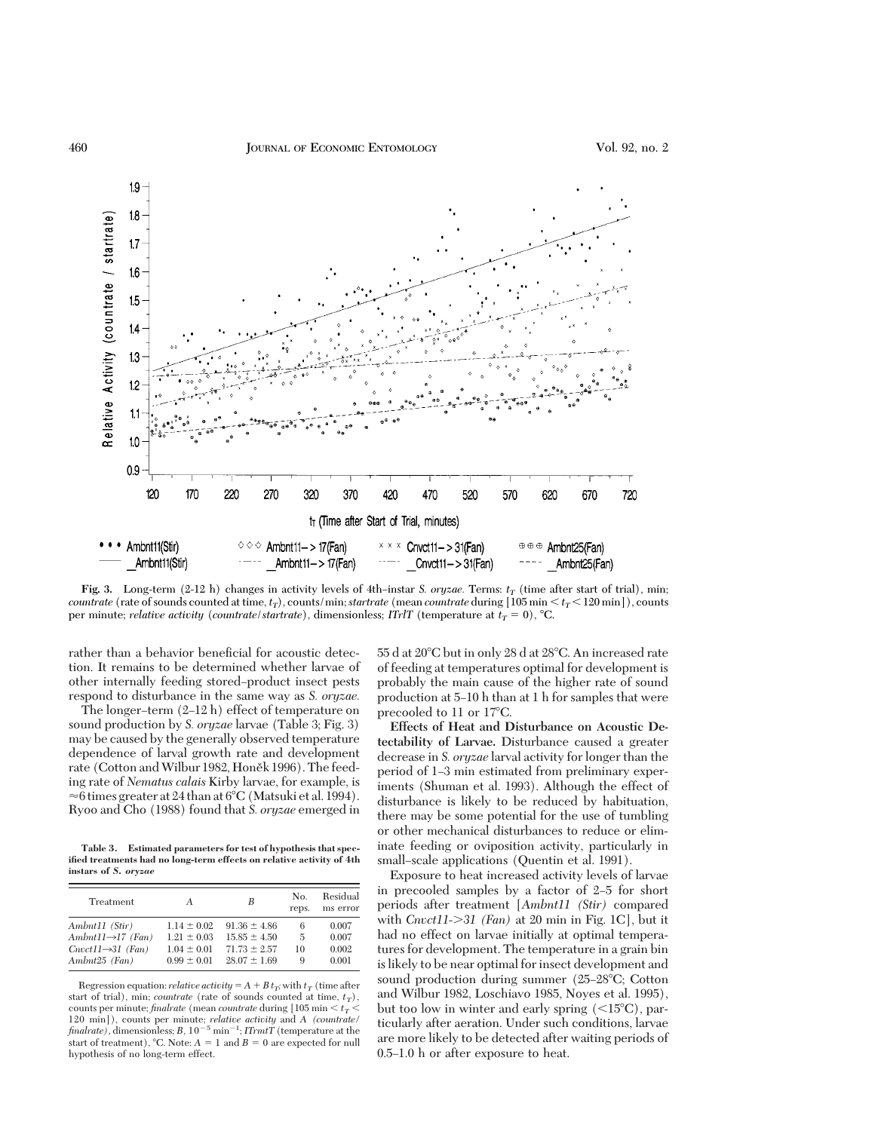

**Fig. 3.** Long-term (2-12 h) changes in activity levels of 4th-instar *S. oryzae*. Terms:  $t_T$  (time after start of trial), min; *countrate* (rate of sounds counted at time,  $t_T$ ), counts/min; *startrate* (mean *countrate* during [105 min  $\lt t_T \lt 120$  min]), counts per minute; *relative activity* (*countrate*/*startrate*), dimensionless; *ITrlT* (*temperature at*  $t_T = 0$ *)*,  $^{\circ}C$ .

rather than a behavior beneficial for acoustic detection. It remains to be determined whether larvae of other internally feeding stored–product insect pests respond to disturbance in the same way as *S. oryzae.*

The longer-term  $(2-12 h)$  effect of temperature on sound production by *S. oryzae* larvae (Table 3; Fig. 3) may be caused by the generally observed temperature dependence of larval growth rate and development rate (Cotton and Wilbur 1982, Honěk 1996). The feeding rate of *Nematus calais* Kirby larvae, for example, is  $\approx$ 6 times greater at 24 than at 6°C (Matsuki et al. 1994). Ryoo and Cho (1988) found that *S. oryzae* emerged in

**Table 3. Estimated parameters for test of hypothesis that specified treatments had no long-term effects on relative activity of 4th instars of** *S. oryzae*

| Treatment                      | А               | B                | No.<br>reps. | Residual<br>ms error |
|--------------------------------|-----------------|------------------|--------------|----------------------|
| Ambnt11 (Stir)                 | $1.14 \pm 0.02$ | $91.36 \pm 4.86$ | 6            | 0.007                |
| Ambnt11 $\rightarrow$ 17 (Fan) | $1.21 \pm 0.03$ | $15.85 \pm 4.50$ | 5            | 0.007                |
| $Cnvct11\rightarrow 31$ (Fan)  | $1.04 \pm 0.01$ | $71.73 \pm 2.57$ | 10           | 0.002                |
| Ambnt25 (Fan)                  | $0.99 \pm 0.01$ | $28.07 \pm 1.69$ | 9            | 0.001                |

Regression equation: *relative activity* =  $A + B t_T$ ; with  $t_T$  (time after start of trial), min; *countrate* (rate of sounds counted at time,  $t_T$ ), counts per minute;  $\emph{finalrate}$  (mean  $\emph{countrate}$  during  $[105 \min < t_T <$ 120 min]), counts per minute; *relative activity* and *A (countrate/*  $finalrate$ ), dimensionless;  $B$ ,  $10^{-5}$  min<sup>-1</sup>;  $ITrmtT$  (temperature at the start of treatment), °C. Note:  $A = 1$  and  $B = 0$  are expected for null hypothesis of no long-term effect.

 $55$  d at  $20^{\circ}$ C but in only  $28$  d at  $28^{\circ}$ C. An increased rate of feeding at temperatures optimal for development is probably the main cause of the higher rate of sound production at 5Ð10 h than at 1 h for samples that were precooled to 11 or  $17^{\circ}$ C.

**Effects of Heat and Disturbance on Acoustic Detectability of Larvae.** Disturbance caused a greater decrease in *S. oryzae* larval activity for longer than the period of 1-3 min estimated from preliminary experiments (Shuman et al. 1993). Although the effect of disturbance is likely to be reduced by habituation, there may be some potential for the use of tumbling or other mechanical disturbances to reduce or eliminate feeding or oviposition activity, particularly in small–scale applications (Quentin et al. 1991).

Exposure to heat increased activity levels of larvae in precooled samples by a factor of  $2-5$  for short periods after treatment [*Ambnt11 (Stir)* compared with *Cnvct11-*.*31 (Fan)* at 20 min in Fig. 1C], but it had no effect on larvae initially at optimal temperatures for development. The temperature in a grain bin is likely to be near optimal for insect development and sound production during summer  $(25-28^{\circ}C;$  Cotton and Wilbur 1982, Loschiavo 1985, Noyes et al. 1995), but too low in winter and early spring  $(<15^{\circ}C)$ , particularly after aeration. Under such conditions, larvae are more likely to be detected after waiting periods of 0.5–1.0 h or after exposure to heat.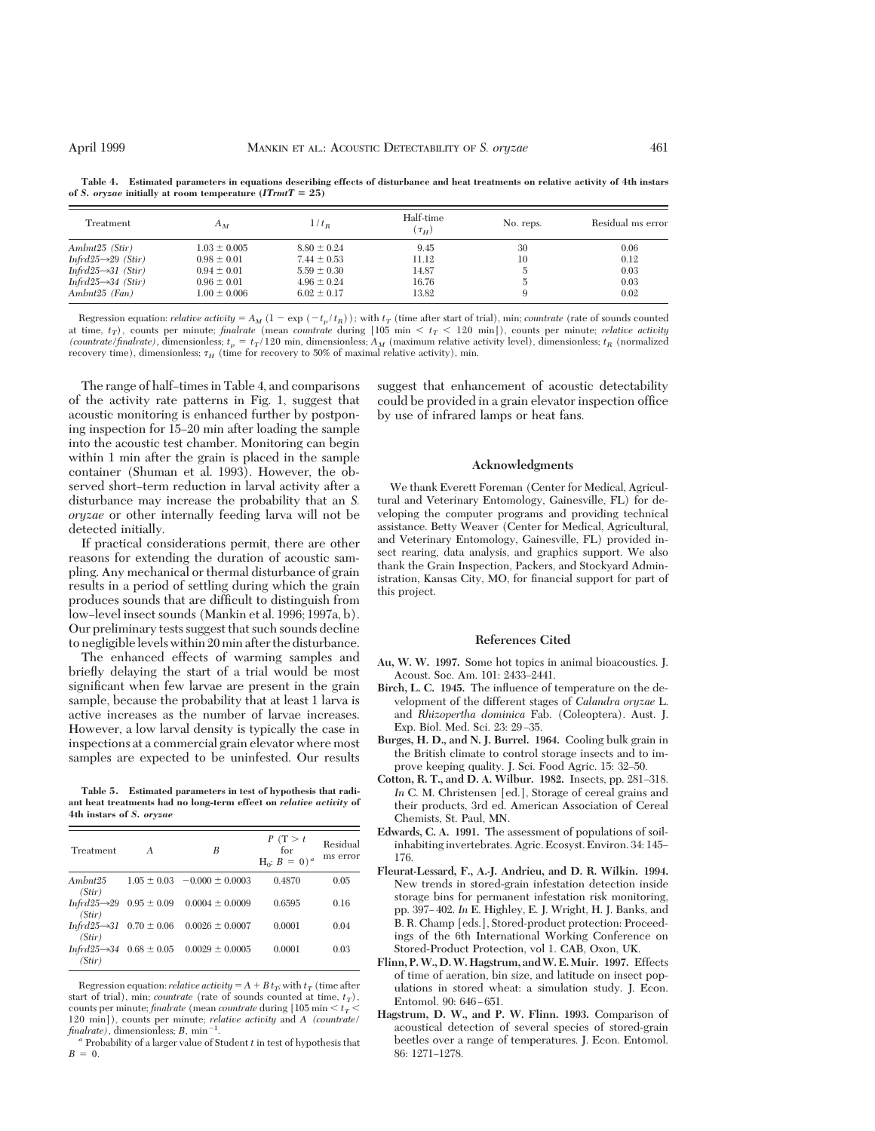| Treatment                       | $A_M$            | $1/t_B$         | Half-time<br>$(\tau_H)$ | No. reps.     | Residual ms error |
|---------------------------------|------------------|-----------------|-------------------------|---------------|-------------------|
| Ambnt25 (Stir)                  | $1.03 \pm 0.005$ | $8.80 \pm 0.24$ | 9.45                    | 30            | 0.06              |
| Infrd25 $\rightarrow$ 29 (Stir) | $0.98 \pm 0.01$  | $7.44 \pm 0.53$ | 11.12                   | 10            | 0.12              |
| Infrd25 $\rightarrow$ 31 (Stir) | $0.94 \pm 0.01$  | $5.59 \pm 0.30$ | 14.87                   | Ð             | 0.03              |
| Infrd25 $\rightarrow$ 34 (Stir) | $0.96 \pm 0.01$  | $4.96 \pm 0.24$ | 16.76                   | $\mathcal{D}$ | 0.03              |
| Ambnt25 (Fan)                   | $1.00 \pm 0.006$ | $6.02 \pm 0.17$ | 13.82                   |               | 0.02              |

**Table 4. Estimated parameters in equations describing effects of disturbance and heat treatments on relative activity of 4th instars** of *S. oryzae* initially at room temperature  $(ITrmtT = 25)$ 

Regression equation: *relative activity* =  $A_M$  (1 - exp (-t<sub>p</sub>/t<sub>R</sub>)); with  $t_T$  (time after start of trial), min; *countrate* (rate of sounds counted at time,  $t_T$ ), counts per minute; *finalrate* (mean *countrate* during [105 min  $\lt t_T \lt 120$  min]), counts per minute; *relative activity (countrate/finalrate)*, dimensionless;  $t_p = t_T/120$  min, dimensionless;  $A_M$  (maximum relative activity level), dimensionless;  $t_R$  (normalized recovery time), dimensionless;  $\tau_H$  (time for recovery to 50% of maximal relative activity), min.

The range of half-times in Table 4, and comparisons of the activity rate patterns in Fig. 1, suggest that acoustic monitoring is enhanced further by postponing inspection for 15–20 min after loading the sample into the acoustic test chamber. Monitoring can begin within 1 min after the grain is placed in the sample container (Shuman et al. 1993). However, the observed short-term reduction in larval activity after a disturbance may increase the probability that an *S. oryzae* or other internally feeding larva will not be detected initially.

If practical considerations permit, there are other reasons for extending the duration of acoustic sampling. Any mechanical or thermal disturbance of grain results in a period of settling during which the grain produces sounds that are difficult to distinguish from low–level insect sounds (Mankin et al. 1996; 1997a, b). Our preliminary tests suggest that such sounds decline to negligiblelevels within 20min after the disturbance.

The enhanced effects of warming samples and brießy delaying the start of a trial would be most significant when few larvae are present in the grain sample, because the probability that at least 1 larva is active increases as the number of larvae increases. However, a low larval density is typically the case in inspections at a commercial grain elevator where most samples are expected to be uninfested. Our results

**Table 5. Estimated parameters in test of hypothesis that radiant heat treatments had no long-term effect on** *relative activity* **of 4th instars of** *S. oryzae*

| Treatment         | A                                        | B                                                            | P(T>t<br>for<br>$H_0$ : $B = 0$ ) <sup>a</sup> | Residual<br>ms error |
|-------------------|------------------------------------------|--------------------------------------------------------------|------------------------------------------------|----------------------|
| Ambnt25<br>(Stir) |                                          | $1.05 \pm 0.03$ -0.000 $\pm$ 0.0003                          | 0.4870                                         | 0.05                 |
| (Stir)            | Infrd25 $\rightarrow$ 29 0.95 $\pm$ 0.09 | $0.0004 \pm 0.0009$                                          | 0.6595                                         | 0.16                 |
| (Stir)            | Infrd25 $\rightarrow$ 31 0.70 $\pm$ 0.06 | $0.0026 \pm 0.0007$                                          | 0.0001                                         | 0.04                 |
| (Stir)            |                                          | Infrd25 $\rightarrow$ 34 0.68 $\pm$ 0.05 0.0029 $\pm$ 0.0005 | 0.0001                                         | 0.03                 |

Regression equation: *relative activity* =  $A + B t_T$ ; with  $t_T$  (time after start of trial), min; *countrate* (rate of sounds counted at time,  $t_T$ ), counts per minute; *finalrate* (mean *countrate* during [105 min  $\le t_T$   $\le$ 120 min]), counts per minute; *relative activity* and *A (countrate/*  $finalrate$ , dimensionless;  $B$ , min<sup>-1</sup>.

suggest that enhancement of acoustic detectability could be provided in a grain elevator inspection office by use of infrared lamps or heat fans.

#### **Acknowledgments**

We thank Everett Foreman (Center for Medical, Agricultural and Veterinary Entomology, Gainesville, FL) for developing the computer programs and providing technical assistance. Betty Weaver (Center for Medical, Agricultural, and Veterinary Entomology, Gainesville, FL) provided insect rearing, data analysis, and graphics support. We also thank the Grain Inspection, Packers, and Stockyard Administration, Kansas City, MO, for financial support for part of this project.

#### **References Cited**

- **Au, W. W. 1997.** Some hot topics in animal bioacoustics. J. Acoust. Soc. Am. 101: 2433-2441.
- **Birch, L. C. 1945.** The inßuence of temperature on the development of the different stages of *Calandra oryzae* L. and *Rhizopertha dominica* Fab. (Coleoptera). Aust. J. Exp. Biol. Med. Sci. 23: 29-35.
- **Burges, H. D., and N. J. Burrel. 1964.** Cooling bulk grain in the British climate to control storage insects and to improve keeping quality. J. Sci. Food Agric. 15: 32–50.
- **Cotton, R. T., and D. A. Wilbur. 1982.** Insects, pp. 281–318. In C. M. Christensen [ed.], Storage of cereal grains and their products, 3rd ed. American Association of Cereal Chemists, St. Paul, MN.
- **Edwards, C. A. 1991.** The assessment of populations of soilinhabiting invertebrates. Agric. Ecosyst. Environ. 34: 145-176.
- **Fleurat-Lessard, F., A.-J. Andrieu, and D. R. Wilkin. 1994.** New trends in stored-grain infestation detection inside storage bins for permanent infestation risk monitoring, pp. 397-402. *In* E. Highley, E. J. Wright, H. J. Banks, and B. R. Champ [eds.], Stored-product protection: Proceedings of the 6th International Working Conference on Stored-Product Protection, vol 1. CAB, Oxon, UK.
- **Flinn, P.W., D.W. Hagstrum, andW. E.Muir. 1997.** Effects of time of aeration, bin size, and latitude on insect populations in stored wheat: a simulation study. J. Econ. Entomol. 90: 646-651.
- **Hagstrum, D. W., and P. W. Flinn. 1993.** Comparison of acoustical detection of several species of stored-grain beetles over a range of temperatures. J. Econ. Entomol. 86: 1271-1278.

<sup>.</sup> *<sup>a</sup>* Probability of a larger value of Student *<sup>t</sup>* in test of hypothesis that  $B = 0.$